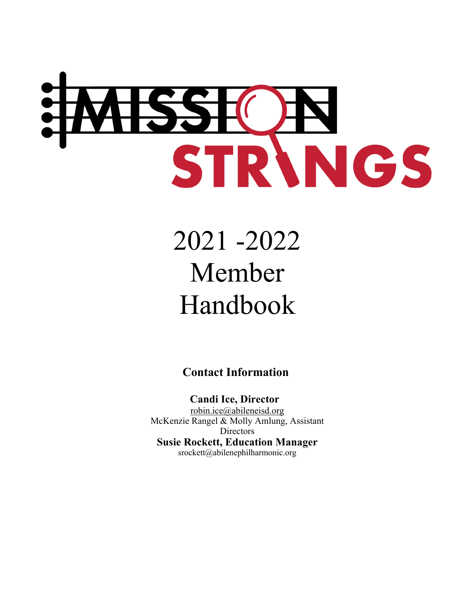

# 2021 -2022 Member Handbook

**Contact Information** 

 **Candi Ice, Director** robin.ice@abileneisd.org McKenzie Rangel & Molly Amlung, Assistant **Directors Susie Rockett, Education Manager** srockett@abilenephilharmonic.org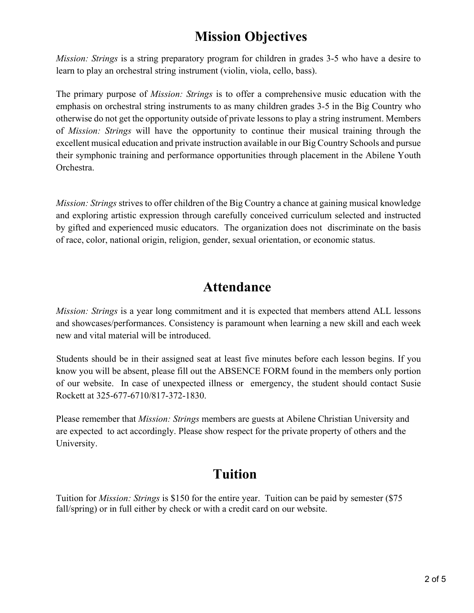### **Mission Objectives**

*Mission: Strings* is a string preparatory program for children in grades 3-5 who have a desire to learn to play an orchestral string instrument (violin, viola, cello, bass).

The primary purpose of *Mission: Strings* is to offer a comprehensive music education with the emphasis on orchestral string instruments to as many children grades 3-5 in the Big Country who otherwise do not get the opportunity outside of private lessons to play a string instrument. Members of *Mission: Strings* will have the opportunity to continue their musical training through the excellent musical education and private instruction available in our Big Country Schools and pursue their symphonic training and performance opportunities through placement in the Abilene Youth Orchestra.

*Mission: Strings* strives to offer children of the Big Country a chance at gaining musical knowledge and exploring artistic expression through carefully conceived curriculum selected and instructed by gifted and experienced music educators. The organization does not discriminate on the basis of race, color, national origin, religion, gender, sexual orientation, or economic status.

#### **Attendance**

*Mission: Strings* is a year long commitment and it is expected that members attend ALL lessons and showcases/performances. Consistency is paramount when learning a new skill and each week new and vital material will be introduced.

Students should be in their assigned seat at least five minutes before each lesson begins. If you know you will be absent, please fill out the ABSENCE FORM found in the members only portion of our website. In case of unexpected illness or emergency, the student should contact Susie Rockett at 325-677-6710/817-372-1830.

Please remember that *Mission: Strings* members are guests at Abilene Christian University and are expected to act accordingly. Please show respect for the private property of others and the University.

#### **Tuition**

Tuition for *Mission: Strings* is \$150 for the entire year. Tuition can be paid by semester (\$75 fall/spring) or in full either by check or with a credit card on our website.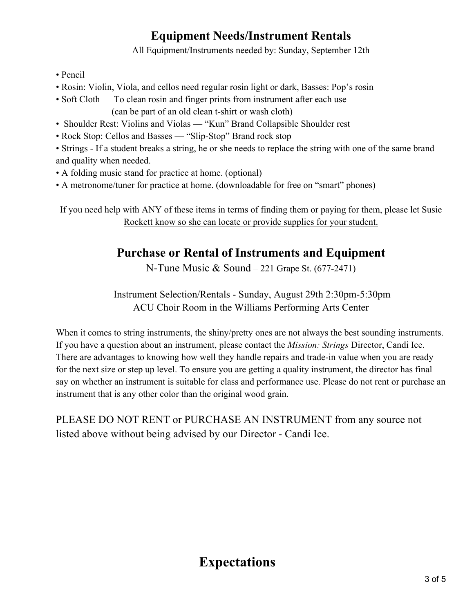#### **Equipment Needs/Instrument Rentals**

All Equipment/Instruments needed by: Sunday, September 12th

- Pencil
- Rosin: Violin, Viola, and cellos need regular rosin light or dark, Basses: Pop's rosin
- Soft Cloth To clean rosin and finger prints from instrument after each use

(can be part of an old clean t-shirt or wash cloth)

- Shoulder Rest: Violins and Violas "Kun" Brand Collapsible Shoulder rest
- Rock Stop: Cellos and Basses "Slip-Stop" Brand rock stop

• Strings - If a student breaks a string, he or she needs to replace the string with one of the same brand and quality when needed.

- A folding music stand for practice at home. (optional)
- A metronome/tuner for practice at home. (downloadable for free on "smart" phones)

If you need help with ANY of these items in terms of finding them or paying for them, please let Susie Rockett know so she can locate or provide supplies for your student.

#### **Purchase or Rental of Instruments and Equipment**

N-Tune Music & Sound – 221 Grape St. (677-2471)

Instrument Selection/Rentals - Sunday, August 29th 2:30pm-5:30pm ACU Choir Room in the Williams Performing Arts Center

When it comes to string instruments, the shiny/pretty ones are not always the best sounding instruments. If you have a question about an instrument, please contact the *Mission: Strings* Director, Candi Ice. There are advantages to knowing how well they handle repairs and trade-in value when you are ready for the next size or step up level. To ensure you are getting a quality instrument, the director has final say on whether an instrument is suitable for class and performance use. Please do not rent or purchase an instrument that is any other color than the original wood grain.

PLEASE DO NOT RENT or PURCHASE AN INSTRUMENT from any source not listed above without being advised by our Director - Candi Ice.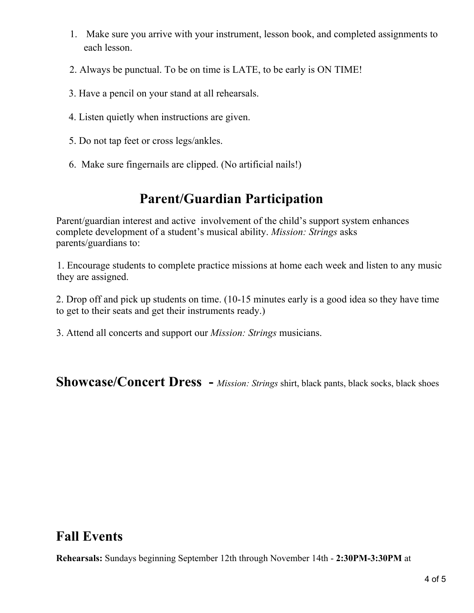- 1. Make sure you arrive with your instrument, lesson book, and completed assignments to each lesson.
- 2. Always be punctual. To be on time is LATE, to be early is ON TIME!
- 3. Have a pencil on your stand at all rehearsals.
- 4. Listen quietly when instructions are given.
- 5. Do not tap feet or cross legs/ankles.
- 6. Make sure fingernails are clipped. (No artificial nails!)

#### **Parent/Guardian Participation**

Parent/guardian interest and active involvement of the child's support system enhances complete development of a student's musical ability. *Mission: Strings* asks parents/guardians to:

1. Encourage students to complete practice missions at home each week and listen to any music they are assigned.

2. Drop off and pick up students on time. (10-15 minutes early is a good idea so they have time to get to their seats and get their instruments ready.)

3. Attend all concerts and support our *Mission: Strings* musicians.

**Showcase/Concert Dress -** *Mission: Strings* shirt, black pants, black socks, black shoes

#### **Fall Events**

**Rehearsals:** Sundays beginning September 12th through November 14th - **2:30PM-3:30PM** at